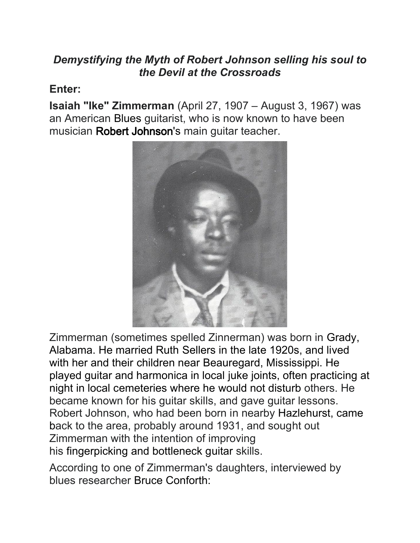## *Demystifying the Myth of Robert Johnson selling his soul to the Devil at the Crossroads*

## **Enter:**

**Isaiah "Ike" Zimmerman** (April 27, 1907 – August 3, 1967) was an American [Blues](https://en.wikipedia.org/wiki/Country_blues) guitarist, who is now known to have been musician [Robert Johnson'](https://en.wikipedia.org/wiki/Robert_Johnson)s main guitar teacher.



Zimmerman (sometimes spelled Zinnerman) was born in [Grady,](https://en.wikipedia.org/wiki/Grady,_Alabama)  [Alabama.](https://en.wikipedia.org/wiki/Grady,_Alabama) He married Ruth Sellers in the late 1920s, and lived with her and their children near [Beauregard, Mississippi.](https://en.wikipedia.org/wiki/Beauregard,_Mississippi) He played guitar and harmonica in local [juke joints,](https://en.wikipedia.org/wiki/Juke_joint) often practicing at night in local cemeteries where he would not disturb others. He became known for his guitar skills, and gave guitar lessons. Robert Johnson, who had been born in nearby [Hazlehurst,](https://en.wikipedia.org/wiki/Hazlehurst,_Mississippi) came back to the area, probably around 1931, and sought out Zimmerman with the intention of improving his [fingerpicking](https://en.wikipedia.org/wiki/Fingerpicking) and [bottleneck guitar](https://en.wikipedia.org/wiki/Bottleneck_guitar) skills.

According to one of Zimmerman's daughters, interviewed by blues researcher [Bruce Conforth:](https://en.wikipedia.org/wiki/Bruce_Conforth)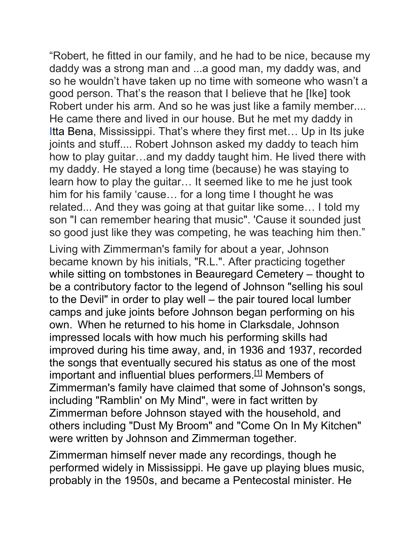"Robert, he fitted in our family, and he had to be nice, because my daddy was a strong man and ...a good man, my daddy was, and so he wouldn't have taken up no time with someone who wasn't a good person. That's the reason that I believe that he [Ike] took Robert under his arm. And so he was just like a family member.... He came there and lived in our house. But he met my daddy in [Itta Bena,](https://en.wikipedia.org/wiki/Itta_Bena) Mississippi. That's where they first met… Up in Its juke joints and stuff.... Robert Johnson asked my daddy to teach him how to play guitar…and my daddy taught him. He lived there with my daddy. He stayed a long time (because) he was staying to learn how to play the guitar… It seemed like to me he just took him for his family 'cause… for a long time I thought he was related... And they was going at that guitar like some… I told my son "I can remember hearing that music". 'Cause it sounded just so good just like they was competing, he was teaching him then."

Living with Zimmerman's family for about a year, Johnson became known by his initials, "R.L.". After practicing together while sitting on tombstones in Beauregard Cemetery – thought to be a contributory factor to the legend of Johnson "selling his soul to the Devil" in order to play well – the pair toured local [lumber](https://en.wikipedia.org/wiki/Lumber_camp)  [camps](https://en.wikipedia.org/wiki/Lumber_camp) and juke joints before Johnson began performing on his own. When he returned to his home in [Clarksdale,](https://en.wikipedia.org/wiki/Clarksdale,_Mississippi) Johnson impressed locals with how much his performing skills had improved during his time away, and, in 1936 and 1937, recorded the songs that eventually secured his status as one of the most important and influential blues performers[.\[1\]](https://en.wikipedia.org/wiki/Ike_Zimmerman#cite_note-conforth-2) Members of Zimmerman's family have claimed that some of Johnson's songs, including ["Ramblin' on My Mind"](https://en.wikipedia.org/wiki/Ramblin%27_on_My_Mind), were in fact written by Zimmerman before Johnson stayed with the household, and others including ["Dust My Broom"](https://en.wikipedia.org/wiki/Dust_My_Broom) and ["Come On In My Kitchen"](https://en.wikipedia.org/wiki/Come_On_In_My_Kitchen) were written by Johnson and Zimmerman together.

Zimmerman himself never made any recordings, though he performed widely in Mississippi. He gave up playing blues music, probably in the 1950s, and became a [Pentecostal](https://en.wikipedia.org/wiki/Pentecostal) minister. He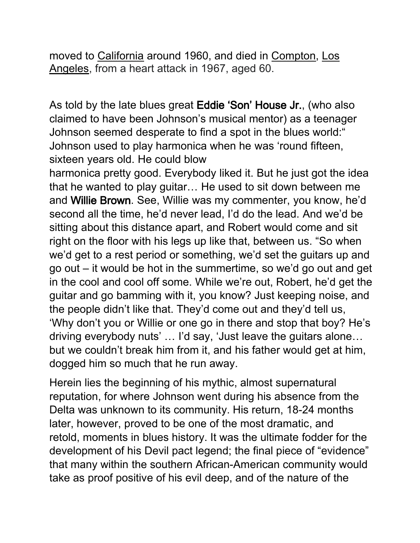moved to [California](https://en.wikipedia.org/wiki/California) around 1960, and died in [Compton,](https://en.wikipedia.org/wiki/Compton,_California) [Los](https://en.wikipedia.org/wiki/Los_Angeles)  [Angeles,](https://en.wikipedia.org/wiki/Los_Angeles) from a heart attack in 1967, aged 60.

As told by the late blues great Eddie 'Son' House Jr., (who also claimed to have been Johnson's musical mentor) as a teenager Johnson seemed desperate to find a spot in the blues world:" Johnson used to play harmonica when he was 'round fifteen, sixteen years old. He could blow

harmonica pretty good. Everybody liked it. But he just got the idea that he wanted to play guitar… He used to sit down between me and Willie Brown. See, Willie was my commenter, you know, he'd second all the time, he'd never lead, I'd do the lead. And we'd be sitting about this distance apart, and Robert would come and sit right on the floor with his legs up like that, between us. "So when we'd get to a rest period or something, we'd set the guitars up and go out – it would be hot in the summertime, so we'd go out and get in the cool and cool off some. While we're out, Robert, he'd get the guitar and go bamming with it, you know? Just keeping noise, and the people didn't like that. They'd come out and they'd tell us, 'Why don't you or Willie or one go in there and stop that boy? He's driving everybody nuts' … I'd say, 'Just leave the guitars alone… but we couldn't break him from it, and his father would get at him, dogged him so much that he run away.

Herein lies the beginning of his mythic, almost supernatural reputation, for where Johnson went during his absence from the Delta was unknown to its community. His return, 18-24 months later, however, proved to be one of the most dramatic, and retold, moments in blues history. It was the ultimate fodder for the development of his Devil pact legend; the final piece of "evidence" that many within the southern African-American community would take as proof positive of his evil deep, and of the nature of the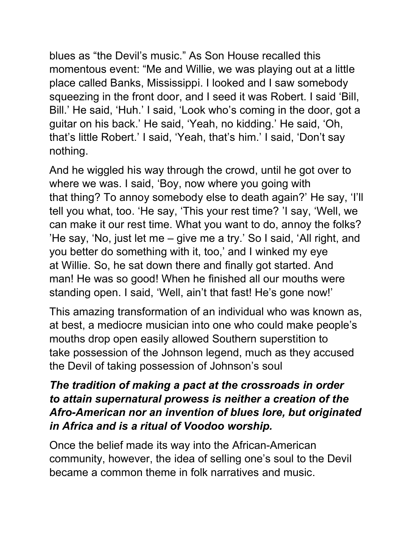blues as "the Devil's music." As Son House recalled this momentous event: "Me and Willie, we was playing out at a little place called Banks, Mississippi. I looked and I saw somebody squeezing in the front door, and I seed it was Robert. I said 'Bill, Bill.' He said, 'Huh.' I said, 'Look who's coming in the door, got a guitar on his back.' He said, 'Yeah, no kidding.' He said, 'Oh, that's little Robert.' I said, 'Yeah, that's him.' I said, 'Don't say nothing.

And he wiggled his way through the crowd, until he got over to where we was. I said, 'Boy, now where you going with that thing? To annoy somebody else to death again?' He say, 'I'll tell you what, too. 'He say, 'This your rest time? 'I say, 'Well, we can make it our rest time. What you want to do, annoy the folks? 'He say, 'No, just let me – give me a try.' So I said, 'All right, and you better do something with it, too,' and I winked my eye at Willie. So, he sat down there and finally got started. And man! He was so good! When he finished all our mouths were standing open. I said, 'Well, ain't that fast! He's gone now!'

This amazing transformation of an individual who was known as, at best, a mediocre musician into one who could make people's mouths drop open easily allowed Southern superstition to take possession of the Johnson legend, much as they accused the Devil of taking possession of Johnson's soul

## *The tradition of making a pact at the crossroads in order to attain supernatural prowess is neither a creation of the Afro-American nor an invention of blues lore, but originated in Africa and is a ritual of Voodoo worship.*

Once the belief made its way into the African-American community, however, the idea of selling one's soul to the Devil became a common theme in folk narratives and music.